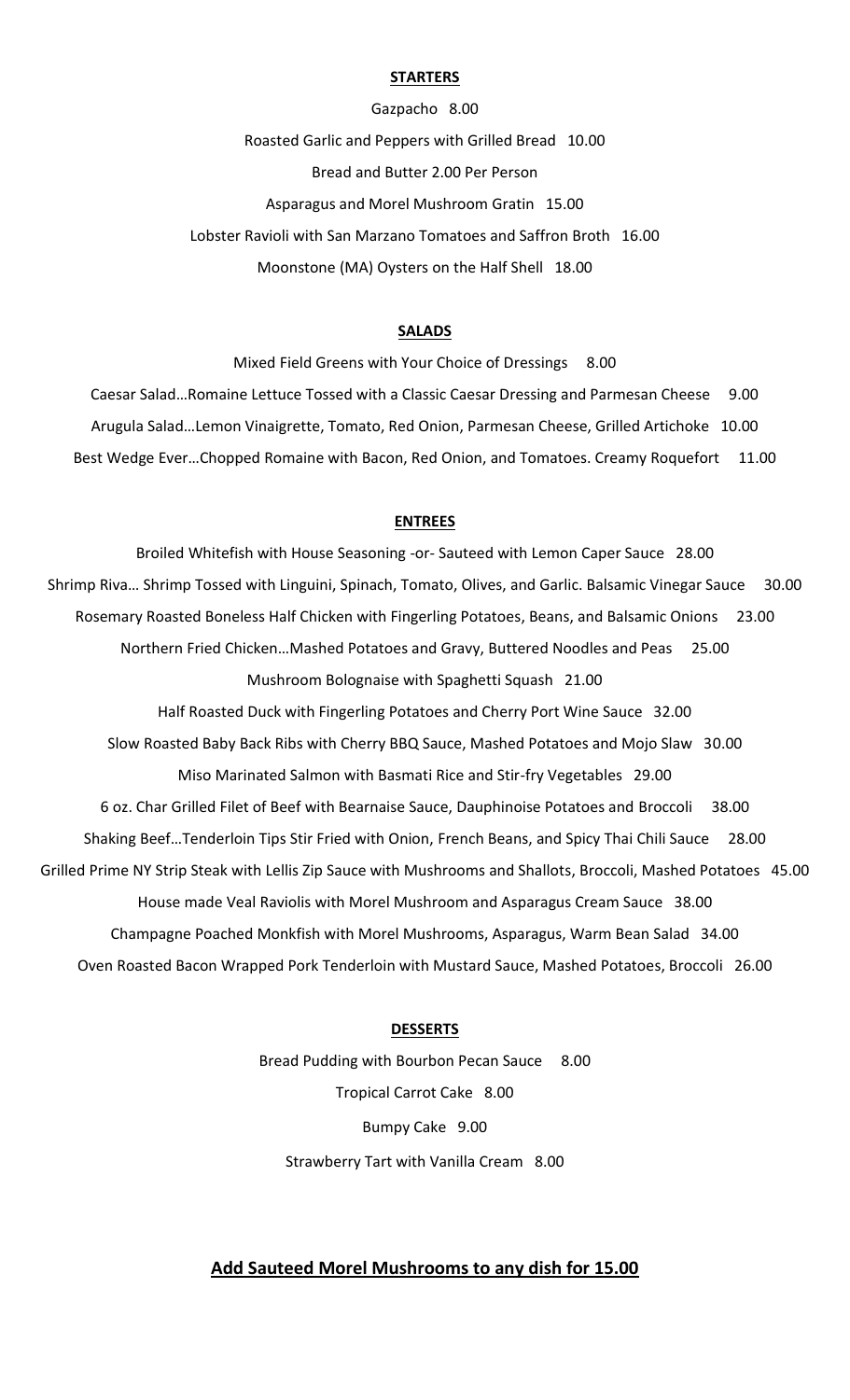#### **STARTERS**

Gazpacho 8.00 Roasted Garlic and Peppers with Grilled Bread 10.00 Bread and Butter 2.00 Per Person Asparagus and Morel Mushroom Gratin 15.00 Lobster Ravioli with San Marzano Tomatoes and Saffron Broth 16.00 Moonstone (MA) Oysters on the Half Shell 18.00

#### **SALADS**

Mixed Field Greens with Your Choice of Dressings 8.00 Caesar Salad...Romaine Lettuce Tossed with a Classic Caesar Dressing and Parmesan Cheese 9.00 Arugula Salad…Lemon Vinaigrette, Tomato, Red Onion, Parmesan Cheese, Grilled Artichoke 10.00 Best Wedge Ever...Chopped Romaine with Bacon, Red Onion, and Tomatoes. Creamy Roquefort 11.00

#### **ENTREES**

Broiled Whitefish with House Seasoning -or- Sauteed with Lemon Caper Sauce 28.00 Shrimp Riva… Shrimp Tossed with Linguini, Spinach, Tomato, Olives, and Garlic. Balsamic Vinegar Sauce 30.00 Rosemary Roasted Boneless Half Chicken with Fingerling Potatoes, Beans, and Balsamic Onions 23.00 Northern Fried Chicken…Mashed Potatoes and Gravy, Buttered Noodles and Peas 25.00 Mushroom Bolognaise with Spaghetti Squash 21.00 Half Roasted Duck with Fingerling Potatoes and Cherry Port Wine Sauce 32.00 Slow Roasted Baby Back Ribs with Cherry BBQ Sauce, Mashed Potatoes and Mojo Slaw 30.00 Miso Marinated Salmon with Basmati Rice and Stir-fry Vegetables 29.00 6 oz. Char Grilled Filet of Beef with Bearnaise Sauce, Dauphinoise Potatoes and Broccoli 38.00 Shaking Beef…Tenderloin Tips Stir Fried with Onion, French Beans, and Spicy Thai Chili Sauce 28.00 Grilled Prime NY Strip Steak with Lellis Zip Sauce with Mushrooms and Shallots, Broccoli, Mashed Potatoes 45.00 House made Veal Raviolis with Morel Mushroom and Asparagus Cream Sauce 38.00 Champagne Poached Monkfish with Morel Mushrooms, Asparagus, Warm Bean Salad 34.00 Oven Roasted Bacon Wrapped Pork Tenderloin with Mustard Sauce, Mashed Potatoes, Broccoli 26.00

#### **DESSERTS**

Bread Pudding with Bourbon Pecan Sauce 8.00 Tropical Carrot Cake 8.00 Bumpy Cake 9.00 Strawberry Tart with Vanilla Cream 8.00

## **Add Sauteed Morel Mushrooms to any dish for 15.00**